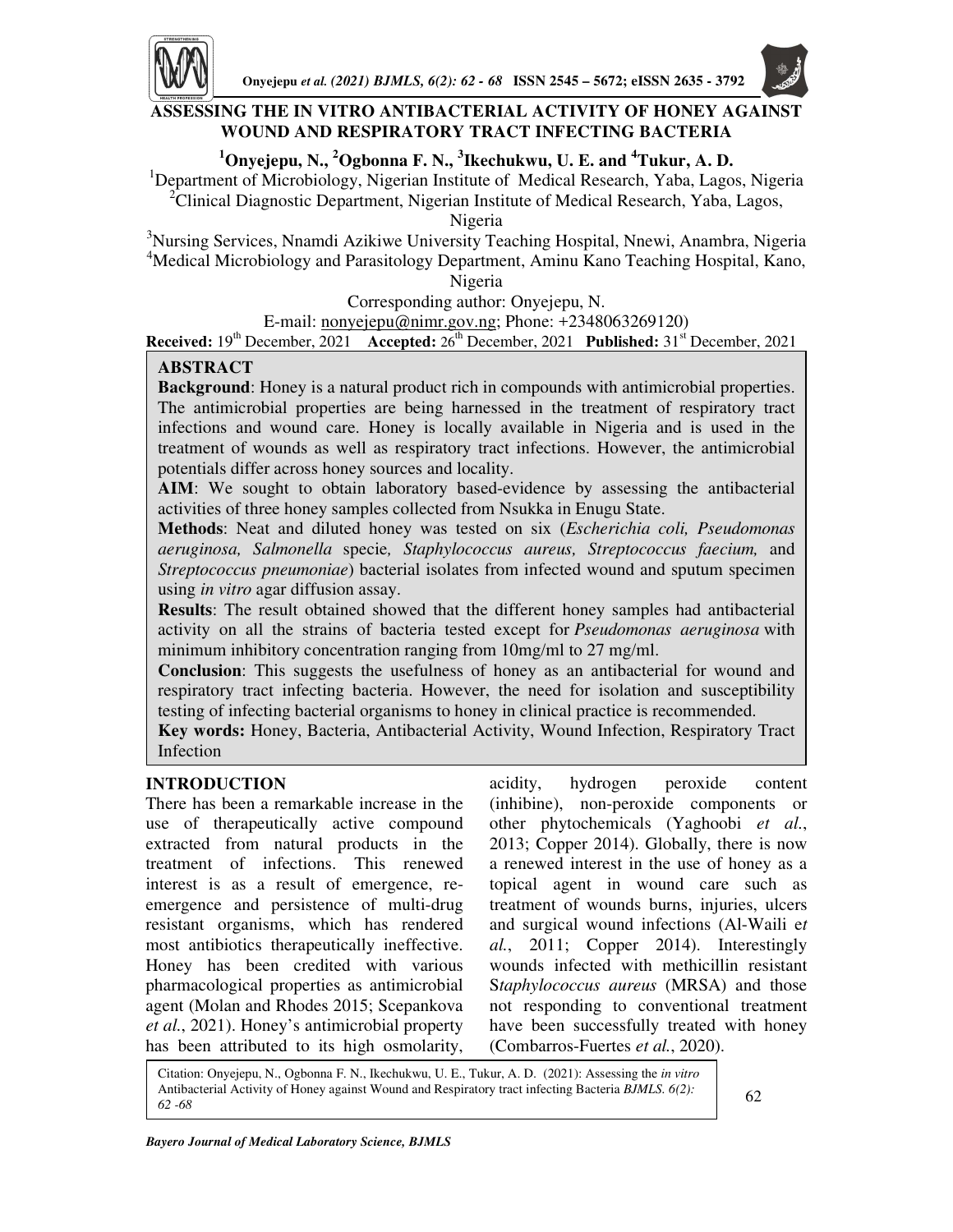

# **ASSESSING THE IN VITRO ANTIBACTERIAL ACTIVITY OF HONEY AGAINST WOUND AND RESPIRATORY TRACT INFECTING BACTERIA**

# **<sup>1</sup>Onyejepu, N., <sup>2</sup>Ogbonna F. N., <sup>3</sup> Ikechukwu, U. E. and <sup>4</sup>Tukur, A. D.**

<sup>1</sup>Department of Microbiology, Nigerian Institute of Medical Research, Yaba, Lagos, Nigeria <sup>2</sup>Clinical Diagnostic Department, Nigerian Institute of Medical Research, Yaba, Lagos,

Nigeria

<sup>3</sup>Nursing Services, Nnamdi Azikiwe University Teaching Hospital, Nnewi, Anambra, Nigeria <sup>4</sup>Medical Microbiology and Parasitology Department, Aminu Kano Teaching Hospital, Kano, Nigeria

Corresponding author: Onyejepu, N.

E-mail: nonyejepu@nimr.gov.ng; Phone: +2348063269120)

**Received:** 19<sup>th</sup> December, 2021 Accepted: 26<sup>th</sup> December, 2021 **Published:** 31<sup>st</sup> December, 2021

# **ABSTRACT**

**Background**: Honey is a natural product rich in compounds with antimicrobial properties. The antimicrobial properties are being harnessed in the treatment of respiratory tract infections and wound care. Honey is locally available in Nigeria and is used in the treatment of wounds as well as respiratory tract infections. However, the antimicrobial potentials differ across honey sources and locality.

**AIM**: We sought to obtain laboratory based-evidence by assessing the antibacterial activities of three honey samples collected from Nsukka in Enugu State.

**Methods**: Neat and diluted honey was tested on six (*Escherichia coli, Pseudomonas aeruginosa, Salmonella* specie*, Staphylococcus aureus, Streptococcus faecium,* and *Streptococcus pneumoniae*) bacterial isolates from infected wound and sputum specimen using *in vitro* agar diffusion assay.

**Results**: The result obtained showed that the different honey samples had antibacterial activity on all the strains of bacteria tested except for *Pseudomonas aeruginosa* with minimum inhibitory concentration ranging from 10mg/ml to 27 mg/ml.

**Conclusion**: This suggests the usefulness of honey as an antibacterial for wound and respiratory tract infecting bacteria. However, the need for isolation and susceptibility testing of infecting bacterial organisms to honey in clinical practice is recommended.

**Key words:** Honey, Bacteria, Antibacterial Activity, Wound Infection, Respiratory Tract Infection

# **INTRODUCTION**

There has been a remarkable increase in the use of therapeutically active compound extracted from natural products in the treatment of infections. This renewed interest is as a result of emergence, reemergence and persistence of multi-drug resistant organisms, which has rendered most antibiotics therapeutically ineffective. Honey has been credited with various pharmacological properties as antimicrobial agent (Molan and Rhodes 2015; Scepankova *et al.*, 2021). Honey's antimicrobial property has been attributed to its high osmolarity,

acidity, hydrogen peroxide content (inhibine), non-peroxide components or other phytochemicals (Yaghoobi *et al.*, 2013; Copper 2014). Globally, there is now a renewed interest in the use of honey as a topical agent in wound care such as treatment of wounds burns, injuries, ulcers and surgical wound infections (Al-Waili e*t al.*, 2011; Copper 2014). Interestingly wounds infected with methicillin resistant S*taphylococcus aureus* (MRSA) and those not responding to conventional treatment have been successfully treated with honey (Combarros-Fuertes *et al.*, 2020).

Citation: Onyejepu, N., Ogbonna F. N., Ikechukwu, U. E., Tukur, A. D. (2021): Assessing the *in vitro* Antibacterial Activity of Honey against Wound and Respiratory tract infecting Bacteria *BJMLS*. 6(2): **62** 62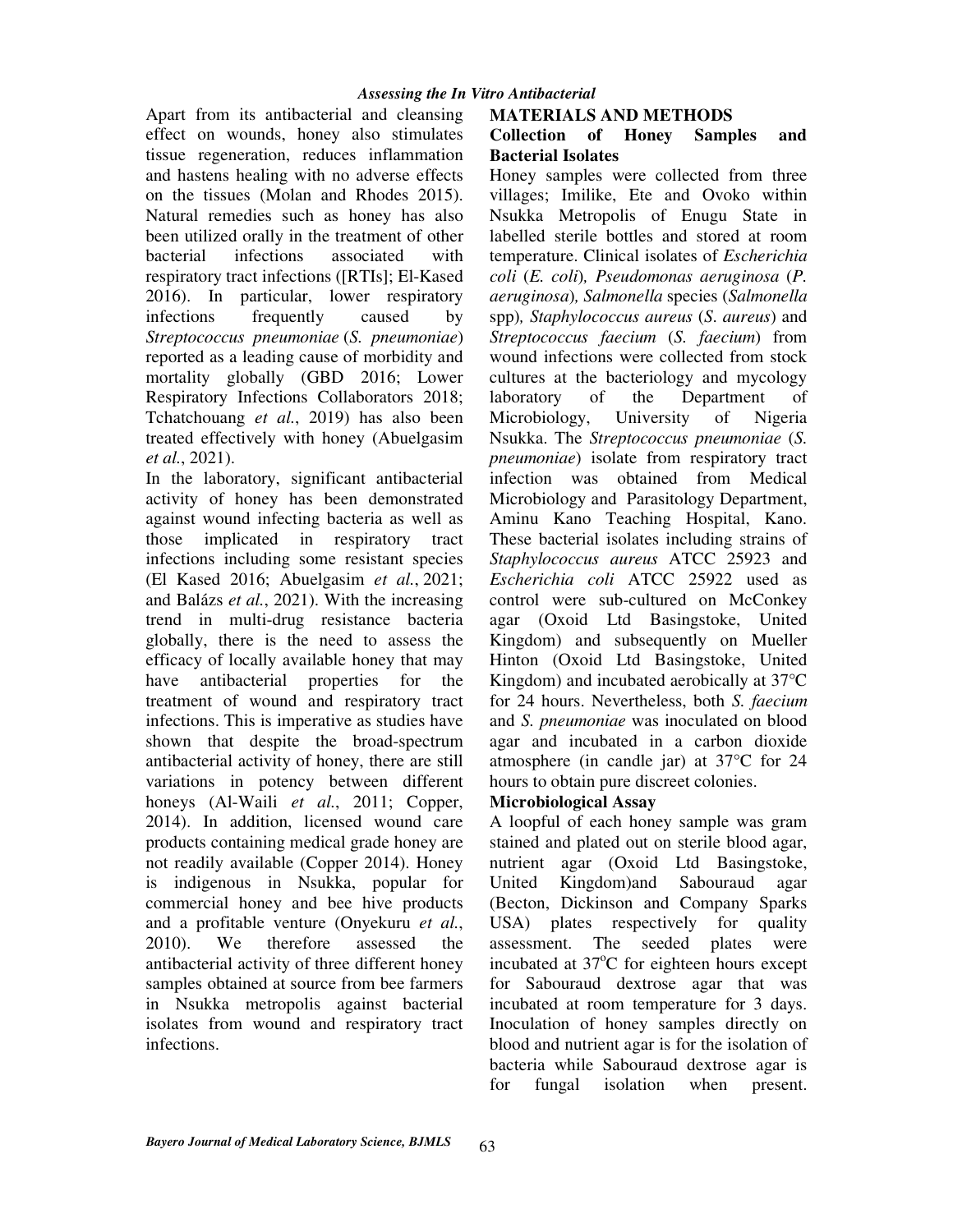Apart from its antibacterial and cleansing effect on wounds, honey also stimulates tissue regeneration, reduces inflammation and hastens healing with no adverse effects on the tissues (Molan and Rhodes 2015). Natural remedies such as honey has also been utilized orally in the treatment of other bacterial infections associated with respiratory tract infections ([RTIs]; El-Kased 2016). In particular, lower respiratory infections frequently caused by *Streptococcus pneumoniae* (*S. pneumoniae*) reported as a leading cause of morbidity and mortality globally (GBD 2016; Lower Respiratory Infections Collaborators 2018; Tchatchouang *et al.*, 2019) has also been treated effectively with honey (Abuelgasim *et al.*, 2021).

In the laboratory, significant antibacterial activity of honey has been demonstrated against wound infecting bacteria as well as those implicated in respiratory tract infections including some resistant species (El Kased 2016; Abuelgasim *et al.*, 2021; and Balázs *et al.*, 2021). With the increasing trend in multi-drug resistance bacteria globally, there is the need to assess the efficacy of locally available honey that may have antibacterial properties for the treatment of wound and respiratory tract infections. This is imperative as studies have shown that despite the broad-spectrum antibacterial activity of honey, there are still variations in potency between different honeys (Al-Waili *et al.*, 2011; Copper, 2014). In addition, licensed wound care products containing medical grade honey are not readily available (Copper 2014). Honey is indigenous in Nsukka, popular for commercial honey and bee hive products and a profitable venture (Onyekuru *et al.*, 2010). We therefore assessed the antibacterial activity of three different honey samples obtained at source from bee farmers in Nsukka metropolis against bacterial isolates from wound and respiratory tract infections.

# **MATERIALS AND METHODS**

## **Collection of Honey Samples and Bacterial Isolates**

Honey samples were collected from three villages; Imilike, Ete and Ovoko within Nsukka Metropolis of Enugu State in labelled sterile bottles and stored at room temperature. Clinical isolates of *Escherichia coli* (*E. coli*)*, Pseudomonas aeruginosa* (*P. aeruginosa*)*, Salmonella* species (*Salmonella*  spp)*, Staphylococcus aureus* (*S*. *aureus*) and *Streptococcus faecium* (*S. faecium*) from wound infections were collected from stock cultures at the bacteriology and mycology laboratory of the Department of Microbiology, University of Nigeria Nsukka. The *Streptococcus pneumoniae* (*S. pneumoniae*) isolate from respiratory tract infection was obtained from Medical Microbiology and Parasitology Department, Aminu Kano Teaching Hospital, Kano. These bacterial isolates including strains of *Staphylococcus aureus* ATCC 25923 and *Escherichia coli* ATCC 25922 used as control were sub-cultured on McConkey agar (Oxoid Ltd Basingstoke, United Kingdom) and subsequently on Mueller Hinton (Oxoid Ltd Basingstoke, United Kingdom) and incubated aerobically at 37°C for 24 hours. Nevertheless, both *S. faecium* and *S. pneumoniae* was inoculated on blood agar and incubated in a carbon dioxide atmosphere (in candle jar) at 37°C for 24 hours to obtain pure discreet colonies.

# **Microbiological Assay**

A loopful of each honey sample was gram stained and plated out on sterile blood agar, nutrient agar (Oxoid Ltd Basingstoke, United Kingdom)and Sabouraud agar (Becton, Dickinson and Company Sparks USA) plates respectively for quality assessment. The seeded plates were incubated at  $37^{\circ}$ C for eighteen hours except for Sabouraud dextrose agar that was incubated at room temperature for 3 days. Inoculation of honey samples directly on blood and nutrient agar is for the isolation of bacteria while Sabouraud dextrose agar is for fungal isolation when present.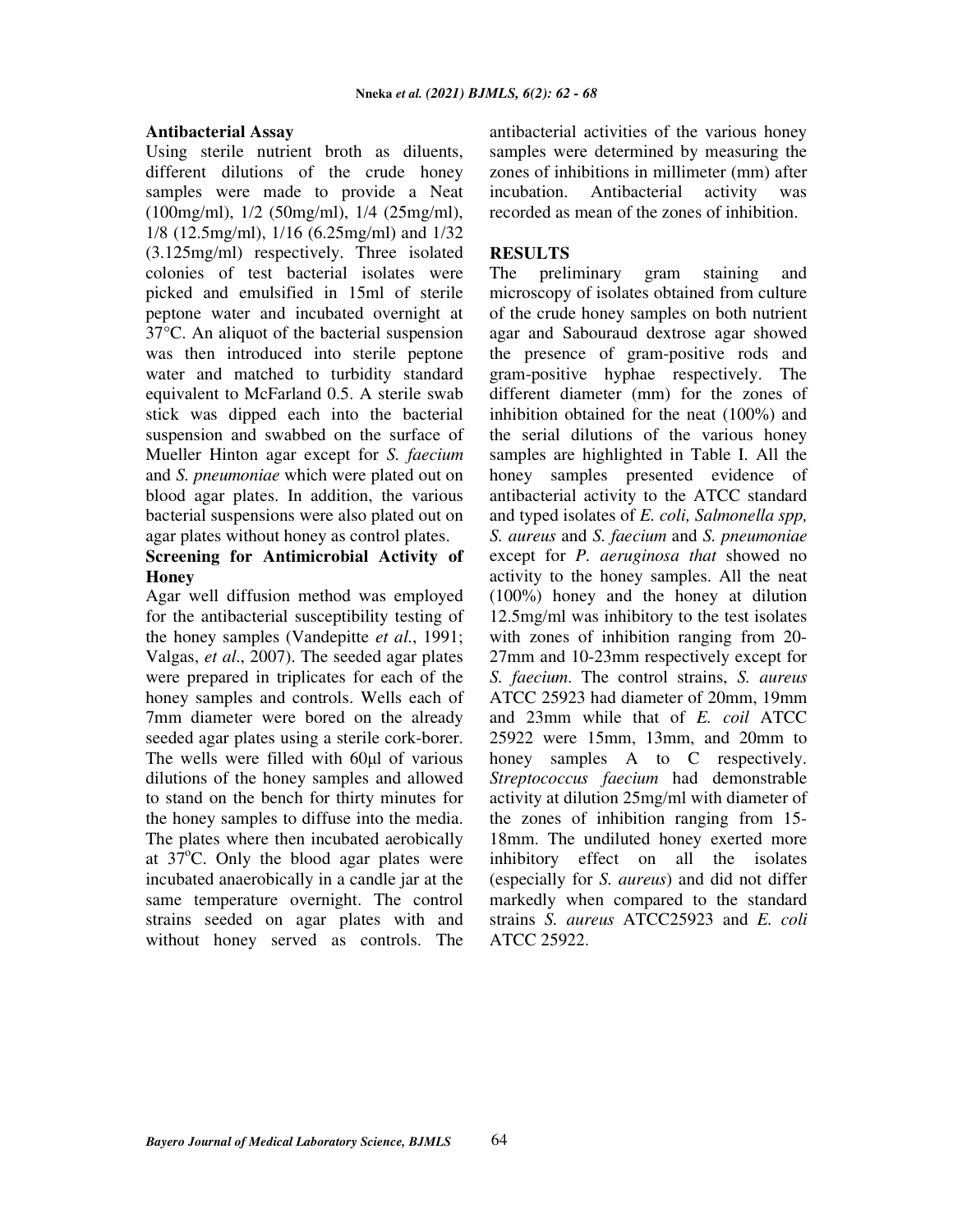#### **Antibacterial Assay**

Using sterile nutrient broth as diluents, different dilutions of the crude honey samples were made to provide a Neat (100mg/ml), 1/2 (50mg/ml), 1/4 (25mg/ml), 1/8 (12.5mg/ml), 1/16 (6.25mg/ml) and 1/32 (3.125mg/ml) respectively. Three isolated colonies of test bacterial isolates were picked and emulsified in 15ml of sterile peptone water and incubated overnight at 37°C. An aliquot of the bacterial suspension was then introduced into sterile peptone water and matched to turbidity standard equivalent to McFarland 0.5. A sterile swab stick was dipped each into the bacterial suspension and swabbed on the surface of Mueller Hinton agar except for *S. faecium*  and *S. pneumoniae* which were plated out on blood agar plates. In addition, the various bacterial suspensions were also plated out on agar plates without honey as control plates.

# **Screening for Antimicrobial Activity of Honey**

Agar well diffusion method was employed for the antibacterial susceptibility testing of the honey samples (Vandepitte *et al.*, 1991; Valgas, *et al*., 2007). The seeded agar plates were prepared in triplicates for each of the honey samples and controls. Wells each of 7mm diameter were bored on the already seeded agar plates using a sterile cork-borer. The wells were filled with 60μl of various dilutions of the honey samples and allowed to stand on the bench for thirty minutes for the honey samples to diffuse into the media. The plates where then incubated aerobically at  $37^{\circ}$ C. Only the blood agar plates were incubated anaerobically in a candle jar at the same temperature overnight. The control strains seeded on agar plates with and without honey served as controls. The antibacterial activities of the various honey samples were determined by measuring the zones of inhibitions in millimeter (mm) after incubation. Antibacterial activity was recorded as mean of the zones of inhibition.

#### **RESULTS**

The preliminary gram staining and microscopy of isolates obtained from culture of the crude honey samples on both nutrient agar and Sabouraud dextrose agar showed the presence of gram-positive rods and gram-positive hyphae respectively. The different diameter (mm) for the zones of inhibition obtained for the neat (100%) and the serial dilutions of the various honey samples are highlighted in Table I. All the honey samples presented evidence of antibacterial activity to the ATCC standard and typed isolates of *E. coli, Salmonella spp, S. aureus* and *S. faecium* and *S. pneumoniae* except for *P. aeruginosa that* showed no activity to the honey samples. All the neat (100%) honey and the honey at dilution 12.5mg/ml was inhibitory to the test isolates with zones of inhibition ranging from 20- 27mm and 10-23mm respectively except for *S. faecium*. The control strains, *S. aureus* ATCC 25923 had diameter of 20mm, 19mm and 23mm while that of *E. coil* ATCC 25922 were 15mm, 13mm, and 20mm to honey samples A to C respectively. *Streptococcus faecium* had demonstrable activity at dilution 25mg/ml with diameter of the zones of inhibition ranging from 15- 18mm. The undiluted honey exerted more inhibitory effect on all the isolates (especially for *S. aureus*) and did not differ markedly when compared to the standard strains *S. aureus* ATCC25923 and *E. coli* ATCC 25922.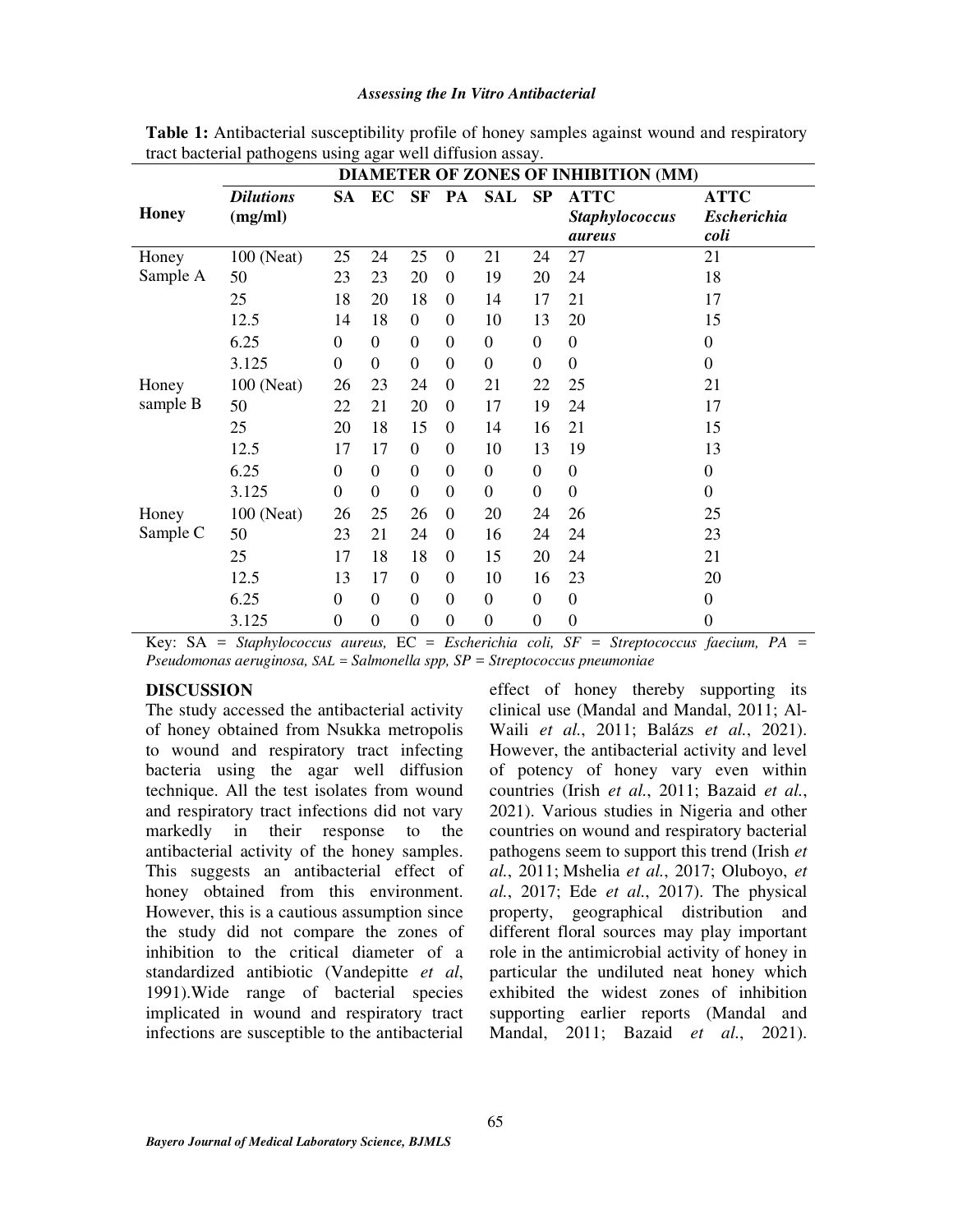#### *Assessing the In Vitro Antibacterial*

|              | <b>DIAMETER OF ZONES OF INHIBITION (MM)</b> |                  |                  |                |                  |                  |                  |                                                       |                                           |
|--------------|---------------------------------------------|------------------|------------------|----------------|------------------|------------------|------------------|-------------------------------------------------------|-------------------------------------------|
| <b>Honey</b> | <b>Dilutions</b><br>(mg/ml)                 |                  | SA EC            | <b>SF</b>      |                  | PA SAL SP        |                  | <b>ATTC</b><br><b>Staphylococcus</b><br><i>aureus</i> | <b>ATTC</b><br><b>Escherichia</b><br>coli |
| Honey        | 100 (Neat)                                  | 25               | 24               | 25             | $\boldsymbol{0}$ | 21               | 24               | 27                                                    | 21                                        |
| Sample A     | 50                                          | 23               | 23               | 20             | $\overline{0}$   | 19               | 20               | 24                                                    | 18                                        |
|              | 25                                          | 18               | 20               | 18             | $\mathbf{0}$     | 14               | 17               | 21                                                    | 17                                        |
|              | 12.5                                        | 14               | 18               | $\theta$       | $\overline{0}$   | 10               | 13               | 20                                                    | 15                                        |
|              | 6.25                                        | $\boldsymbol{0}$ | $\overline{0}$   | $\Omega$       | $\overline{0}$   | $\overline{0}$   | $\boldsymbol{0}$ | $\boldsymbol{0}$                                      | $\Omega$                                  |
|              | 3.125                                       | $\boldsymbol{0}$ | $\overline{0}$   | $\theta$       | $\overline{0}$   | $\overline{0}$   | $\boldsymbol{0}$ | $\overline{0}$                                        | $\Omega$                                  |
| Honey        | 100 (Neat)                                  | 26               | 23               | 24             | $\overline{0}$   | 21               | 22               | 25                                                    | 21                                        |
| sample B     | 50                                          | 22               | 21               | 20             | $\Omega$         | 17               | 19               | 24                                                    | 17                                        |
|              | 25                                          | 20               | 18               | 15             | $\boldsymbol{0}$ | 14               | 16               | 21                                                    | 15                                        |
|              | 12.5                                        | 17               | 17               | $\overline{0}$ | $\overline{0}$   | 10               | 13               | 19                                                    | 13                                        |
|              | 6.25                                        | $\boldsymbol{0}$ | $\boldsymbol{0}$ | $\overline{0}$ | $\boldsymbol{0}$ | $\boldsymbol{0}$ | $\boldsymbol{0}$ | $\boldsymbol{0}$                                      | $\mathbf{0}$                              |
|              | 3.125                                       | $\overline{0}$   | $\overline{0}$   | $\overline{0}$ | $\overline{0}$   | $\overline{0}$   | $\boldsymbol{0}$ | $\theta$                                              | $\Omega$                                  |
| Honey        | 100 (Neat)                                  | 26               | 25               | 26             | $\boldsymbol{0}$ | 20               | 24               | 26                                                    | 25                                        |
| Sample C     | 50                                          | 23               | 21               | 24             | $\overline{0}$   | 16               | 24               | 24                                                    | 23                                        |
|              | 25                                          | 17               | 18               | 18             | $\boldsymbol{0}$ | 15               | 20               | 24                                                    | 21                                        |
|              | 12.5                                        | 13               | 17               | $\theta$       | $\overline{0}$   | 10               | 16               | 23                                                    | 20                                        |
|              | 6.25                                        | $\boldsymbol{0}$ | $\boldsymbol{0}$ | $\Omega$       | $\boldsymbol{0}$ | $\boldsymbol{0}$ | $\boldsymbol{0}$ | $\boldsymbol{0}$                                      | $\mathbf{0}$                              |
|              | 3.125                                       | $\overline{0}$   | $\boldsymbol{0}$ | $\mathbf{0}$   | $\boldsymbol{0}$ | $\mathbf{0}$     | $\overline{0}$   | $\boldsymbol{0}$                                      | $\boldsymbol{0}$                          |

**Table 1:** Antibacterial susceptibility profile of honey samples against wound and respiratory tract bacterial pathogens using agar well diffusion assay.

Key: SA = *Staphylococcus aureus,* EC = *Escherichia coli, SF = Streptococcus faecium, PA = Pseudomonas aeruginosa, SAL = Salmonella spp, SP = Streptococcus pneumoniae* 

#### **DISCUSSION**

The study accessed the antibacterial activity of honey obtained from Nsukka metropolis to wound and respiratory tract infecting bacteria using the agar well diffusion technique. All the test isolates from wound and respiratory tract infections did not vary markedly in their response to the antibacterial activity of the honey samples. This suggests an antibacterial effect of honey obtained from this environment. However, this is a cautious assumption since the study did not compare the zones of inhibition to the critical diameter of a standardized antibiotic (Vandepitte *et al*, 1991).Wide range of bacterial species implicated in wound and respiratory tract infections are susceptible to the antibacterial effect of honey thereby supporting its clinical use (Mandal and Mandal, 2011; Al-Waili *et al.*, 2011; Balázs *et al.*, 2021). However, the antibacterial activity and level of potency of honey vary even within countries (Irish *et al.*, 2011; Bazaid *et al.*, 2021). Various studies in Nigeria and other countries on wound and respiratory bacterial pathogens seem to support this trend (Irish *et al.*, 2011; Mshelia *et al.*, 2017; Oluboyo, *et al.*, 2017; Ede *et al.*, 2017). The physical property, geographical distribution and different floral sources may play important role in the antimicrobial activity of honey in particular the undiluted neat honey which exhibited the widest zones of inhibition supporting earlier reports (Mandal and Mandal, 2011; Bazaid *et al.*, 2021).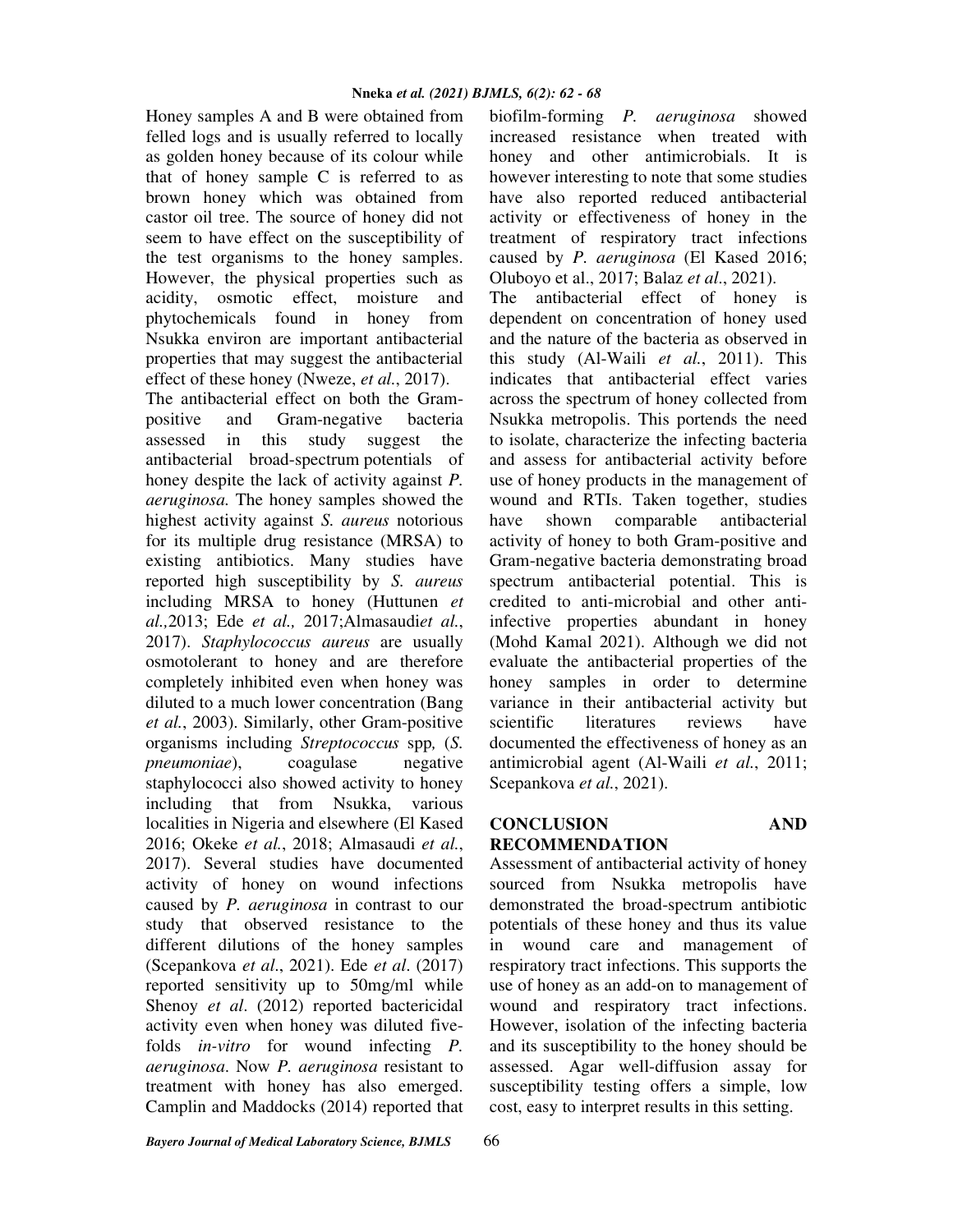Honey samples A and B were obtained from felled logs and is usually referred to locally as golden honey because of its colour while that of honey sample C is referred to as brown honey which was obtained from castor oil tree. The source of honey did not seem to have effect on the susceptibility of the test organisms to the honey samples. However, the physical properties such as acidity, osmotic effect, moisture and phytochemicals found in honey from Nsukka environ are important antibacterial properties that may suggest the antibacterial effect of these honey (Nweze, *et al.*, 2017).

The antibacterial effect on both the Grampositive and Gram-negative bacteria assessed in this study suggest the antibacterial broad-spectrum potentials of honey despite the lack of activity against *P. aeruginosa.* The honey samples showed the highest activity against *S. aureus* notorious for its multiple drug resistance (MRSA) to existing antibiotics. Many studies have reported high susceptibility by *S. aureus*  including MRSA to honey (Huttunen *et al.,*2013; Ede *et al.,* 2017;Almasaudi*et al.*, 2017). *Staphylococcus aureus* are usually osmotolerant to honey and are therefore completely inhibited even when honey was diluted to a much lower concentration (Bang *et al.*, 2003). Similarly, other Gram-positive organisms including *Streptococcus* spp*,* (*S. pneumoniae*), coagulase negative staphylococci also showed activity to honey including that from Nsukka, various localities in Nigeria and elsewhere (El Kased 2016; Okeke *et al.*, 2018; Almasaudi *et al.*, 2017). Several studies have documented activity of honey on wound infections caused by *P. aeruginosa* in contrast to our study that observed resistance to the different dilutions of the honey samples (Scepankova *et al*., 2021). Ede *et al*. (2017) reported sensitivity up to 50mg/ml while Shenoy *et al.* (2012) reported bactericidal activity even when honey was diluted fivefolds *in-vitro* for wound infecting *P. aeruginosa*. Now *P. aeruginosa* resistant to treatment with honey has also emerged. Camplin and Maddocks (2014) reported that

honey and other antimicrobials. It is however interesting to note that some studies have also reported reduced antibacterial activity or effectiveness of honey in the treatment of respiratory tract infections caused by *P. aeruginosa* (El Kased 2016; Oluboyo et al., 2017; Balaz *et al*., 2021). The antibacterial effect of honey is

biofilm-forming *P. aeruginosa* showed increased resistance when treated with

dependent on concentration of honey used and the nature of the bacteria as observed in this study (Al-Waili *et al.*, 2011). This indicates that antibacterial effect varies across the spectrum of honey collected from Nsukka metropolis. This portends the need to isolate, characterize the infecting bacteria and assess for antibacterial activity before use of honey products in the management of wound and RTIs. Taken together, studies have shown comparable antibacterial activity of honey to both Gram-positive and Gram-negative bacteria demonstrating broad spectrum antibacterial potential. This is credited to anti-microbial and other antiinfective properties abundant in honey (Mohd Kamal 2021). Although we did not evaluate the antibacterial properties of the honey samples in order to determine variance in their antibacterial activity but scientific literatures reviews have documented the effectiveness of honey as an antimicrobial agent (Al-Waili *et al.*, 2011; Scepankova *et al.*, 2021).

#### **CONCLUSION AND RECOMMENDATION**

Assessment of antibacterial activity of honey sourced from Nsukka metropolis have demonstrated the broad-spectrum antibiotic potentials of these honey and thus its value in wound care and management of respiratory tract infections. This supports the use of honey as an add-on to management of wound and respiratory tract infections. However, isolation of the infecting bacteria and its susceptibility to the honey should be assessed. Agar well-diffusion assay for susceptibility testing offers a simple, low cost, easy to interpret results in this setting.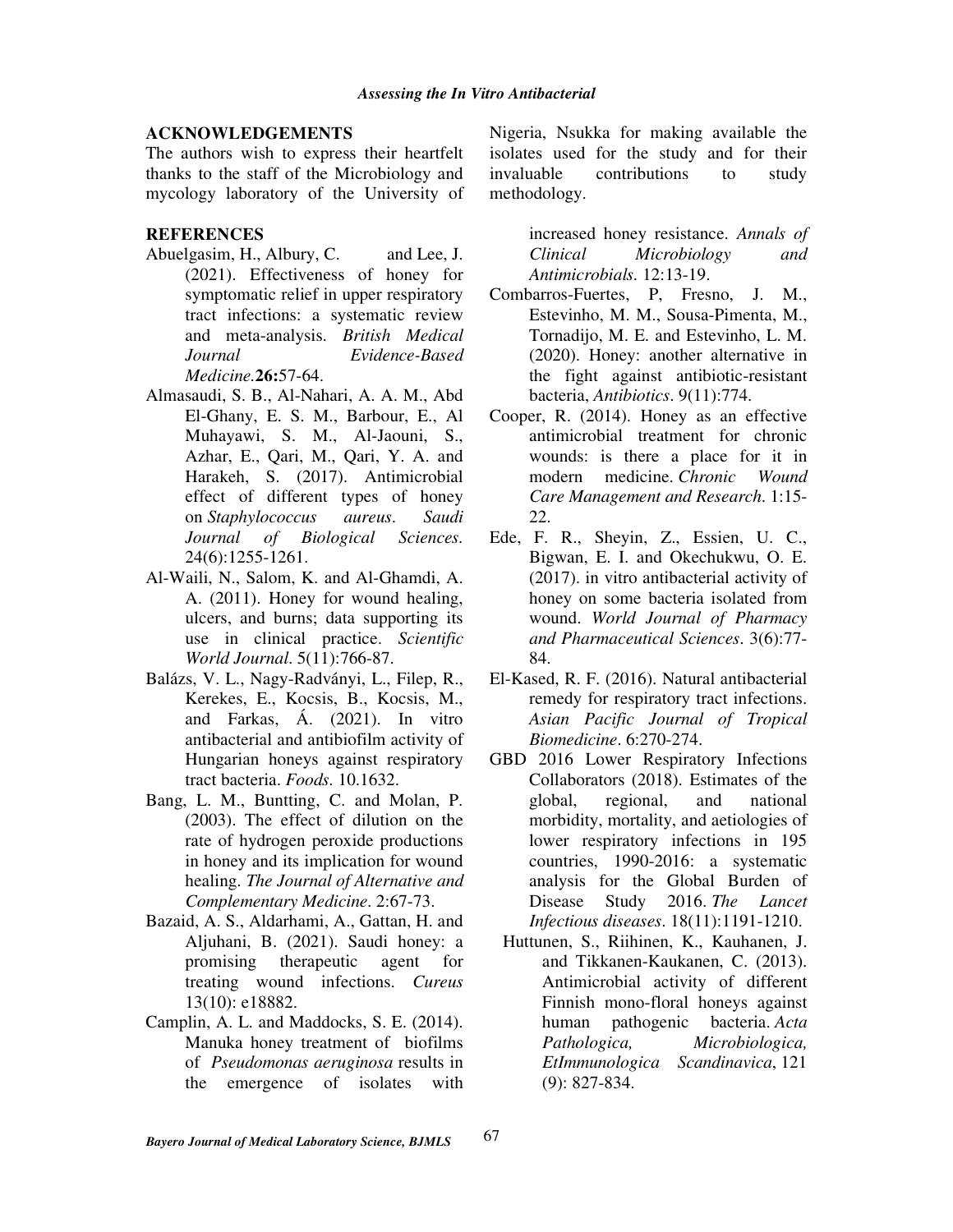#### **ACKNOWLEDGEMENTS**

The authors wish to express their heartfelt thanks to the staff of the Microbiology and mycology laboratory of the University of

#### **REFERENCES**

- Abuelgasim, H., Albury, C. and Lee, J. (2021). Effectiveness of honey for symptomatic relief in upper respiratory tract infections: a systematic review and meta-analysis. *British Medical Journal Evidence-Based Medicine.***26:**57-64.
- Almasaudi, S. B., Al-Nahari, A. A. M., Abd El-Ghany, E. S. M., Barbour, E., Al Muhayawi, S. M., Al-Jaouni, S., Azhar, E., Qari, M., Qari, Y. A. and Harakeh, S. (2017). Antimicrobial effect of different types of honey on *Staphylococcus aureus*. *Saudi Journal of Biological Sciences.* 24(6):1255-1261.
- Al-Waili, N., Salom, K. and Al-Ghamdi, A. A. (2011). Honey for wound healing, ulcers, and burns; data supporting its use in clinical practice. *Scientific World Journal*. 5(11):766-87.
- Balázs, V. L., Nagy-Radványi, L., Filep, R., Kerekes, E., Kocsis, B., Kocsis, M., and Farkas, Á. (2021). In vitro antibacterial and antibiofilm activity of Hungarian honeys against respiratory tract bacteria. *Foods.* 10.1632.
- Bang, L. M., Buntting, C. and Molan, P. (2003). The effect of dilution on the rate of hydrogen peroxide productions in honey and its implication for wound healing. *The Journal of Alternative and Complementary Medicine*. 2:67-73.
- Bazaid, A. S., Aldarhami, A., Gattan, H. and Aljuhani, B. (2021). Saudi honey: a promising therapeutic agent for treating wound infections. *Cureus* 13(10): e18882.
- Camplin, A. L. and Maddocks, S. E. (2014). Manuka honey treatment of biofilms of *Pseudomonas aeruginosa* results in the emergence of isolates with

Nigeria, Nsukka for making available the isolates used for the study and for their invaluable contributions to study methodology.

> increased honey resistance. *Annals of Clinical Microbiology and Antimicrobials.* 12:13-19.

- Combarros-Fuertes, P, Fresno, J. M., Estevinho, M. M., Sousa-Pimenta, M., Tornadijo, M. E. and Estevinho, L. M. (2020). Honey: another alternative in the fight against antibiotic-resistant bacteria, *Antibiotics*. 9(11):774.
- Cooper, R. (2014). Honey as an effective antimicrobial treatment for chronic wounds: is there a place for it in modern medicine. *Chronic Wound Care Management and Research*. 1:15- 22.
- Ede, F. R., Sheyin, Z., Essien, U. C., Bigwan, E. I. and Okechukwu, O. E. (2017). in vitro antibacterial activity of honey on some bacteria isolated from wound. *World Journal of Pharmacy and Pharmaceutical Sciences*. 3(6):77- 84.
- El-Kased, R. F. (2016). Natural antibacterial remedy for respiratory tract infections. *Asian Pacific Journal of Tropical Biomedicine*. 6:270-274.
- GBD 2016 Lower Respiratory Infections Collaborators (2018). Estimates of the global, regional, and national morbidity, mortality, and aetiologies of lower respiratory infections in 195 countries, 1990-2016: a systematic analysis for the Global Burden of Disease Study 2016. *The Lancet Infectious diseases*. 18(11):1191-1210.
	- Huttunen, S., Riihinen, K., Kauhanen, J. and Tikkanen-Kaukanen, C. (2013). Antimicrobial activity of different Finnish mono-floral honeys against human pathogenic bacteria. *Acta Pathologica, Microbiologica, EtImmunologica Scandinavica*, 121 (9): 827-834.

67